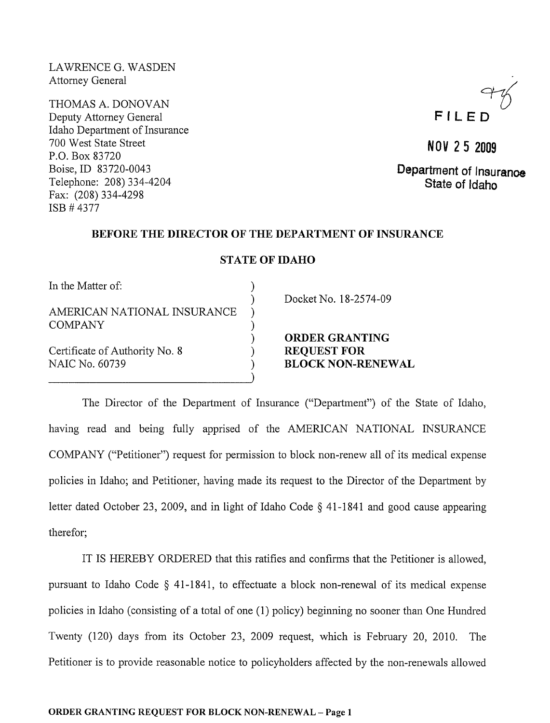LAWRENCE G. WASDEN Attorney General

THOMAS A. DONOVAN Deputy Attorney General Idaho Department of Insurance 700 West State Street P.O. Box 83720 Boise,ID 83720-0043 Telephone: 208) 334-4204 Fax: (208) 334-4298 ISB # 4377

# $F$   $H$   $F$   $F$

**NOV** 2 5 **<sup>2009</sup>** Department of Insuranoe State of Idaho

#### BEFORE THE DIRECTOR OF THE DEPARTMENT OF INSURANCE

#### STATE OF IDAHO

)

)

In the Matter of:

AMERICAN NATIONAL INSURANCE **COMPANY** 

----------------------------)

Certificate of Authority No.8) NAIC No. 60739

Docket No. 18-2574-09

ORDER GRANTING REQUEST FOR BLOCK NON-RENEWAL

The Director of the Department of Insurance ("Department") of the State of Idaho, having read and being fully apprised of the AMERICAN NATIONAL INSURANCE COMPANY ("Petitioner") request for permission to block non-renew all of its medical expense policies in Idaho; and Petitioner, having made its request to the Director of the Department by letter dated October 23, 2009, and in light of Idaho Code  $\S$  41-1841 and good cause appearing therefor;

IT IS HEREBY ORDERED that this ratifies and confirms that the Petitioner is allowed, pursuant to Idaho Code § 41-1841, to effectuate a block non-renewal of its medical expense policies in Idaho (consisting of a total of one (1) policy) beginning no sooner than One Hundred Twenty (120) days from its October 23, 2009 request, which is February 20, 2010. The Petitioner is to provide reasonable notice to policyholders affected by the non-renewals allowed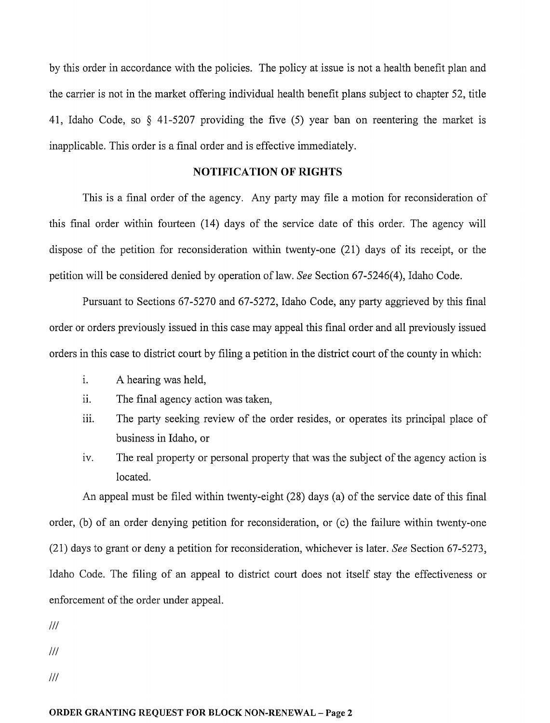by this order in accordance with the policies. The policy at issue is not a health benefit plan and the carrier is not in the market offering individual health benefit plans subject to chapter 52, title 41, Idaho Code, so § 41-5207 providing the five (5) year ban on reentering the market is inapplicable. This order is a final order and is effective immediately.

### **NOTIFICATION OF RIGHTS**

This is a final order of the agency. Any party may file a motion for reconsideration of this final order within fourteen (14) days of the service date of this order. The agency will dispose of the petition for reconsideration within twenty-one (21) days of its receipt, or the petition will be considered denied by operation of law. *See* Section 67-5246(4), Idaho Code.

Pursuant to Sections 67-5270 and 67-5272, Idaho Code, any party aggrieved by this final order or orders previously issued in this case may appeal this final order and all previously issued orders in this case to district court by filing a petition in the district court of the county in which:

- i. A hearing was held,
- ii. The final agency action was taken,
- iii. The party seeking review of the order resides, or operates its principal place of business in Idaho, or
- iv. The real property or personal property that was the subject of the agency action is located.

An appeal must be filed within twenty-eight (28) days (a) of the service date of this final order, (b) of an order denying petition for reconsideration, or (c) the failure within twenty-one (21) days to grant or deny a petition for reconsideration, whichever is later. *See* Section 67-5273, Idaho Code. The filing of an appeal to district court does not itself stay the effectiveness or enforcement of the order under appeal.

 $III$ 

 $III$ 

 $III$